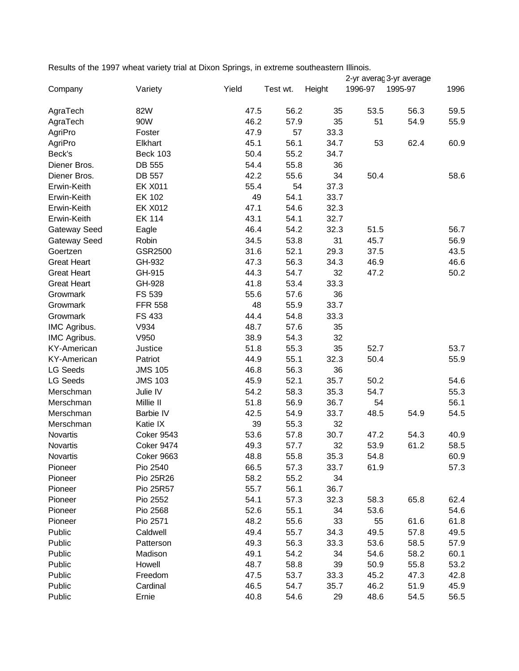Results of the 1997 wheat variety trial at Dixon Springs, in extreme southeastern Illinois.

|                    |                   |       |          | 2-yr averaç 3-yr average |         |         |      |
|--------------------|-------------------|-------|----------|--------------------------|---------|---------|------|
| Company            | Variety           | Yield | Test wt. | Height                   | 1996-97 | 1995-97 | 1996 |
| AgraTech           | 82W               | 47.5  | 56.2     | 35                       | 53.5    | 56.3    | 59.5 |
| AgraTech           | 90W               | 46.2  | 57.9     | 35                       | 51      | 54.9    | 55.9 |
| AgriPro            | Foster            | 47.9  | 57       | 33.3                     |         |         |      |
| AgriPro            | Elkhart           | 45.1  | 56.1     | 34.7                     | 53      | 62.4    | 60.9 |
| Beck's             | <b>Beck 103</b>   | 50.4  | 55.2     | 34.7                     |         |         |      |
| Diener Bros.       | DB 555            | 54.4  | 55.8     | 36                       |         |         |      |
| Diener Bros.       | DB 557            | 42.2  | 55.6     | 34                       | 50.4    |         | 58.6 |
| Erwin-Keith        | <b>EK X011</b>    | 55.4  | 54       | 37.3                     |         |         |      |
| Erwin-Keith        | <b>EK 102</b>     | 49    | 54.1     | 33.7                     |         |         |      |
| Erwin-Keith        | <b>EK X012</b>    | 47.1  | 54.6     | 32.3                     |         |         |      |
| Erwin-Keith        | <b>EK 114</b>     | 43.1  | 54.1     | 32.7                     |         |         |      |
| Gateway Seed       | Eagle             | 46.4  | 54.2     | 32.3                     | 51.5    |         | 56.7 |
| Gateway Seed       | Robin             | 34.5  | 53.8     | 31                       | 45.7    |         | 56.9 |
| Goertzen           | GSR2500           | 31.6  | 52.1     | 29.3                     | 37.5    |         | 43.5 |
| <b>Great Heart</b> | GH-932            | 47.3  | 56.3     | 34.3                     | 46.9    |         | 46.6 |
| <b>Great Heart</b> | GH-915            | 44.3  | 54.7     | 32                       | 47.2    |         | 50.2 |
| <b>Great Heart</b> | GH-928            | 41.8  | 53.4     | 33.3                     |         |         |      |
| Growmark           | FS 539            | 55.6  | 57.6     | 36                       |         |         |      |
| Growmark           | <b>FFR 558</b>    | 48    | 55.9     | 33.7                     |         |         |      |
| Growmark           | FS 433            | 44.4  | 54.8     | 33.3                     |         |         |      |
| IMC Agribus.       | V934              | 48.7  | 57.6     | 35                       |         |         |      |
| IMC Agribus.       | V950              | 38.9  | 54.3     | 32                       |         |         |      |
| <b>KY-American</b> | Justice           | 51.8  | 55.3     | 35                       | 52.7    |         | 53.7 |
| <b>KY-American</b> | Patriot           | 44.9  | 55.1     | 32.3                     | 50.4    |         | 55.9 |
| <b>LG Seeds</b>    | <b>JMS 105</b>    | 46.8  | 56.3     | 36                       |         |         |      |
| <b>LG Seeds</b>    | <b>JMS 103</b>    | 45.9  | 52.1     | 35.7                     | 50.2    |         | 54.6 |
| Merschman          | Julie IV          | 54.2  | 58.3     | 35.3                     | 54.7    |         | 55.3 |
| Merschman          | Millie II         | 51.8  | 56.9     | 36.7                     | 54      |         | 56.1 |
| Merschman          | Barbie IV         | 42.5  | 54.9     | 33.7                     | 48.5    | 54.9    | 54.5 |
| Merschman          | Katie IX          | 39    | 55.3     | 32                       |         |         |      |
| Novartis           | <b>Coker 9543</b> | 53.6  | 57.8     | 30.7                     | 47.2    | 54.3    | 40.9 |
| Novartis           | Coker 9474        | 49.3  | 57.7     | 32                       | 53.9    | 61.2    | 58.5 |
| Novartis           | Coker 9663        | 48.8  | 55.8     | 35.3                     | 54.8    |         | 60.9 |
| Pioneer            | Pio 2540          | 66.5  | 57.3     | 33.7                     | 61.9    |         | 57.3 |
| Pioneer            | Pio 25R26         | 58.2  | 55.2     | 34                       |         |         |      |
| Pioneer            | Pio 25R57         | 55.7  | 56.1     | 36.7                     |         |         |      |
| Pioneer            | Pio 2552          | 54.1  | 57.3     | 32.3                     | 58.3    | 65.8    | 62.4 |
| Pioneer            | Pio 2568          | 52.6  | 55.1     | 34                       | 53.6    |         | 54.6 |
| Pioneer            | Pio 2571          | 48.2  | 55.6     | 33                       | 55      | 61.6    | 61.8 |
| Public             | Caldwell          | 49.4  | 55.7     | 34.3                     | 49.5    | 57.8    | 49.5 |
| Public             | Patterson         | 49.3  | 56.3     | 33.3                     | 53.6    | 58.5    | 57.9 |
| Public             | Madison           | 49.1  | 54.2     | 34                       | 54.6    | 58.2    | 60.1 |
| Public             | Howell            | 48.7  | 58.8     | 39                       | 50.9    | 55.8    | 53.2 |
| Public             | Freedom           | 47.5  | 53.7     | 33.3                     | 45.2    | 47.3    | 42.8 |
| Public             | Cardinal          | 46.5  | 54.7     | 35.7                     | 46.2    | 51.9    | 45.9 |
| Public             | Ernie             | 40.8  | 54.6     | 29                       | 48.6    | 54.5    | 56.5 |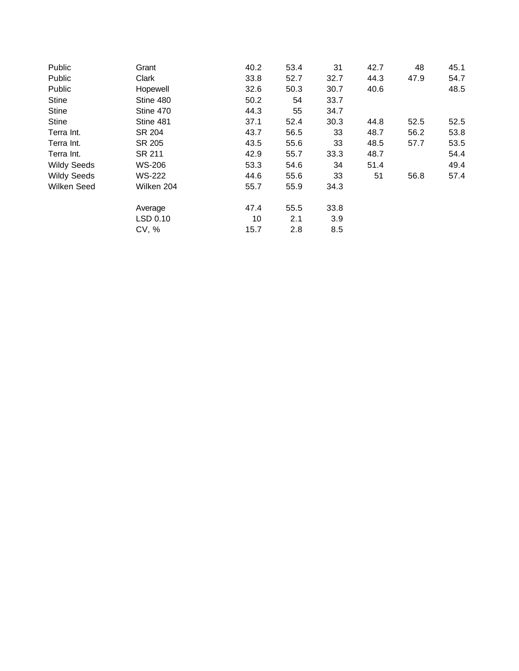| Grant         | 40.2 | 53.4 | 31   | 42.7 | 48   | 45.1 |
|---------------|------|------|------|------|------|------|
| Clark         | 33.8 | 52.7 | 32.7 | 44.3 | 47.9 | 54.7 |
| Hopewell      | 32.6 | 50.3 | 30.7 | 40.6 |      | 48.5 |
| Stine 480     | 50.2 | 54   | 33.7 |      |      |      |
| Stine 470     | 44.3 | 55   | 34.7 |      |      |      |
| Stine 481     | 37.1 | 52.4 | 30.3 | 44.8 | 52.5 | 52.5 |
| SR 204        | 43.7 | 56.5 | 33   | 48.7 | 56.2 | 53.8 |
| SR 205        | 43.5 | 55.6 | 33   | 48.5 | 57.7 | 53.5 |
| SR 211        | 42.9 | 55.7 | 33.3 | 48.7 |      | 54.4 |
| <b>WS-206</b> | 53.3 | 54.6 | 34   | 51.4 |      | 49.4 |
| <b>WS-222</b> | 44.6 | 55.6 | 33   | 51   | 56.8 | 57.4 |
| Wilken 204    | 55.7 | 55.9 | 34.3 |      |      |      |
| Average       | 47.4 | 55.5 | 33.8 |      |      |      |
| LSD 0.10      | 10   | 2.1  | 3.9  |      |      |      |
| CV, %         | 15.7 | 2.8  | 8.5  |      |      |      |
|               |      |      |      |      |      |      |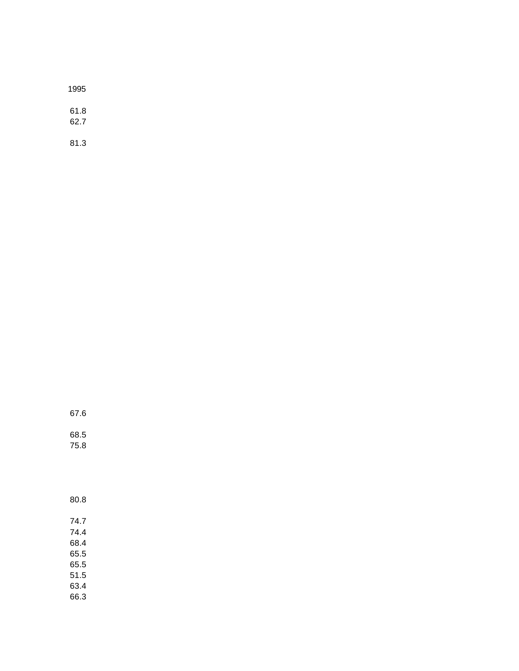| 1995         |  |
|--------------|--|
| 61.8<br>62.7 |  |

81.3

67.6

68.5 75.8

80.8

74.7 74.4 68.4 65.5 65.5 51.5 63.4 66.3